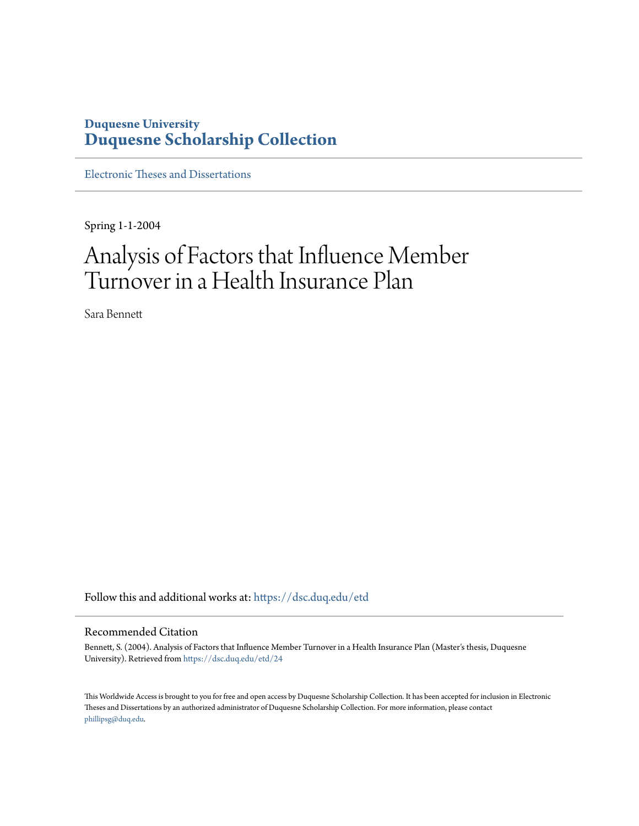### **Duquesne University [Duquesne Scholarship Collection](https://dsc.duq.edu?utm_source=dsc.duq.edu%2Fetd%2F24&utm_medium=PDF&utm_campaign=PDFCoverPages)**

[Electronic Theses and Dissertations](https://dsc.duq.edu/etd?utm_source=dsc.duq.edu%2Fetd%2F24&utm_medium=PDF&utm_campaign=PDFCoverPages)

Spring 1-1-2004

## Analysis of Factors that Influence Member Turnover in a Health Insurance Plan

Sara Bennett

Follow this and additional works at: [https://dsc.duq.edu/etd](https://dsc.duq.edu/etd?utm_source=dsc.duq.edu%2Fetd%2F24&utm_medium=PDF&utm_campaign=PDFCoverPages)

#### Recommended Citation

Bennett, S. (2004). Analysis of Factors that Influence Member Turnover in a Health Insurance Plan (Master's thesis, Duquesne University). Retrieved from [https://dsc.duq.edu/etd/24](https://dsc.duq.edu/etd/24?utm_source=dsc.duq.edu%2Fetd%2F24&utm_medium=PDF&utm_campaign=PDFCoverPages)

This Worldwide Access is brought to you for free and open access by Duquesne Scholarship Collection. It has been accepted for inclusion in Electronic Theses and Dissertations by an authorized administrator of Duquesne Scholarship Collection. For more information, please contact [phillipsg@duq.edu.](mailto:phillipsg@duq.edu)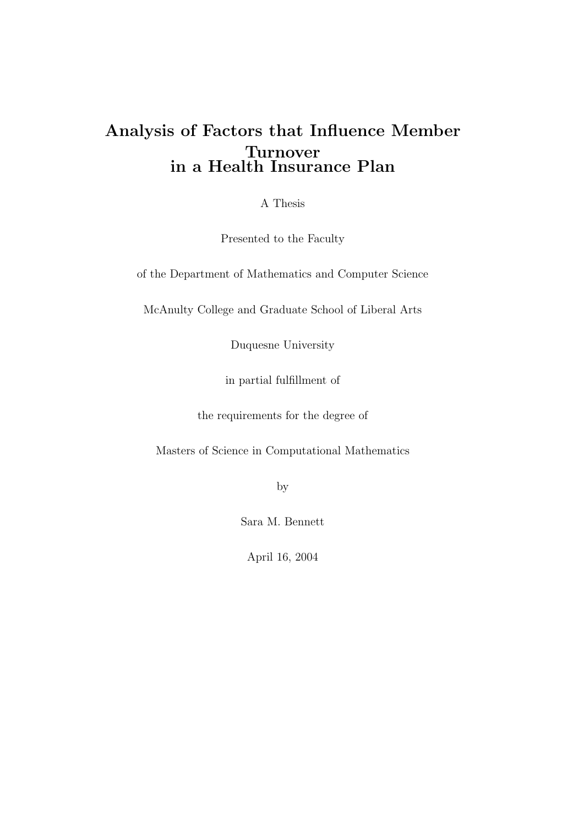### Analysis of Factors that Influence Member Turnover in a Health Insurance Plan

A Thesis

Presented to the Faculty

of the Department of Mathematics and Computer Science

McAnulty College and Graduate School of Liberal Arts

Duquesne University

in partial fulfillment of

the requirements for the degree of

Masters of Science in Computational Mathematics

by

Sara M. Bennett

April 16, 2004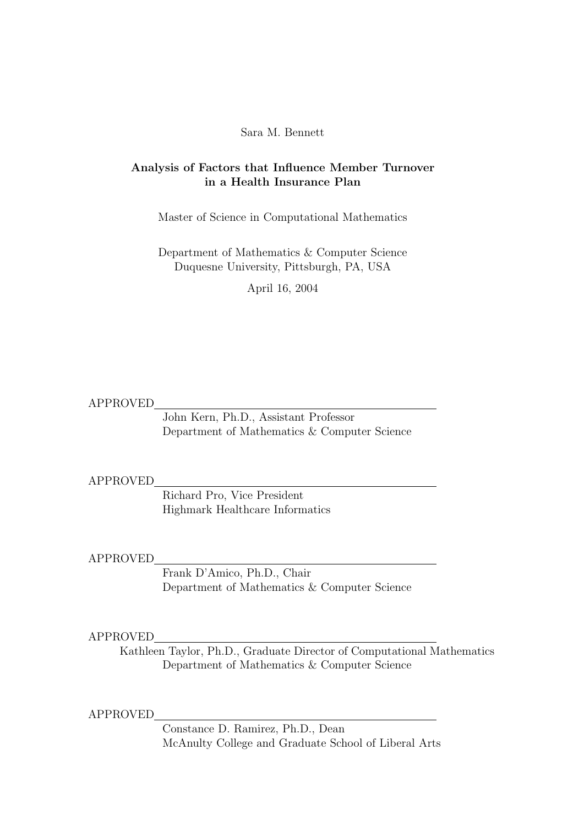#### Sara M. Bennett

#### Analysis of Factors that Influence Member Turnover in a Health Insurance Plan

Master of Science in Computational Mathematics

Department of Mathematics & Computer Science Duquesne University, Pittsburgh, PA, USA

April 16, 2004

APPROVED

John Kern, Ph.D., Assistant Professor Department of Mathematics & Computer Science

#### APPROVED

Richard Pro, Vice President Highmark Healthcare Informatics

APPROVED

Frank D'Amico, Ph.D., Chair Department of Mathematics & Computer Science

#### APPROVED

Kathleen Taylor, Ph.D., Graduate Director of Computational Mathematics Department of Mathematics & Computer Science

APPROVED

Constance D. Ramirez, Ph.D., Dean McAnulty College and Graduate School of Liberal Arts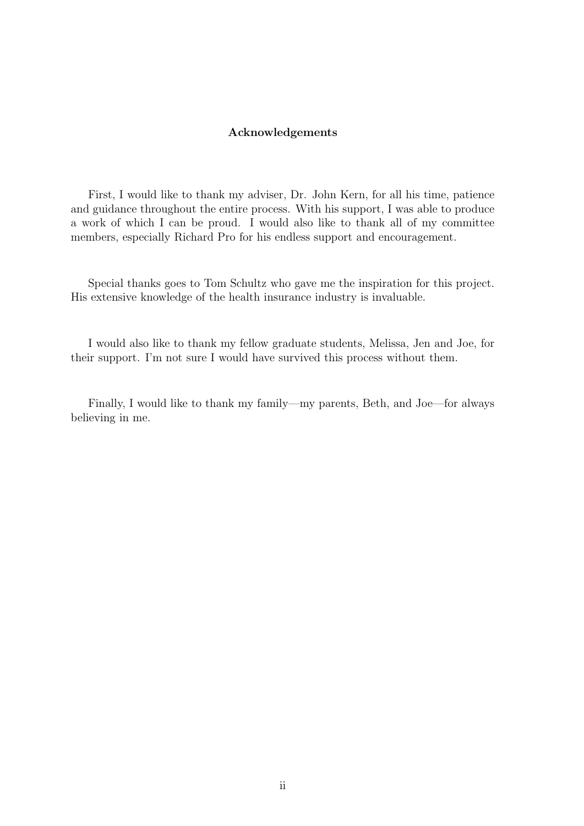#### Acknowledgements

First, I would like to thank my adviser, Dr. John Kern, for all his time, patience and guidance throughout the entire process. With his support, I was able to produce a work of which I can be proud. I would also like to thank all of my committee members, especially Richard Pro for his endless support and encouragement.

Special thanks goes to Tom Schultz who gave me the inspiration for this project. His extensive knowledge of the health insurance industry is invaluable.

I would also like to thank my fellow graduate students, Melissa, Jen and Joe, for their support. I'm not sure I would have survived this process without them.

Finally, I would like to thank my family—my parents, Beth, and Joe—for always believing in me.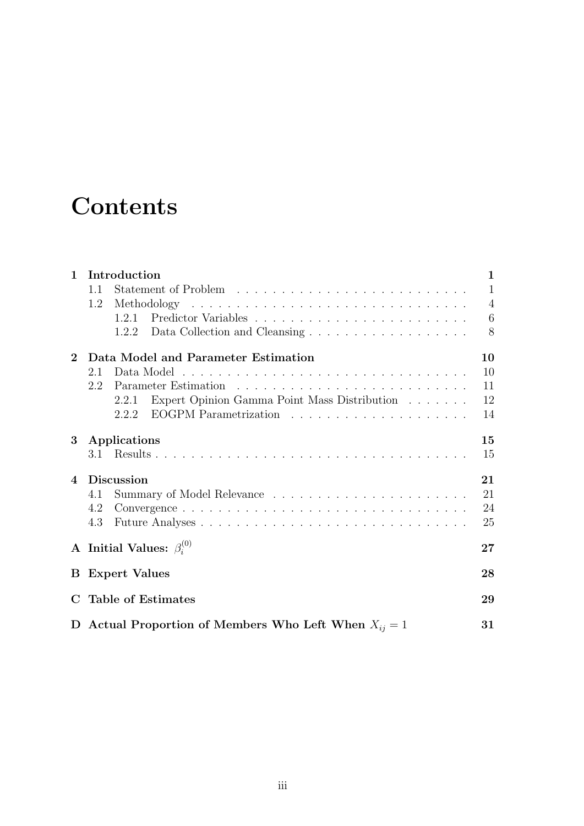# **Contents**

| $\mathbf{1}$   | Introduction                                              | $\mathbf{1}$   |  |  |  |  |
|----------------|-----------------------------------------------------------|----------------|--|--|--|--|
|                | 1.1                                                       | $\mathbf{1}$   |  |  |  |  |
|                | 1.2                                                       | $\overline{4}$ |  |  |  |  |
|                | 1.2.1                                                     | 6              |  |  |  |  |
|                |                                                           | 8              |  |  |  |  |
| $\mathbf{2}$   | Data Model and Parameter Estimation                       | 10             |  |  |  |  |
|                | 2.1                                                       | 10             |  |  |  |  |
|                | 2.2                                                       | 11             |  |  |  |  |
|                | Expert Opinion Gamma Point Mass Distribution<br>2.2.1     | 12             |  |  |  |  |
|                | 2.2.2                                                     | 14             |  |  |  |  |
| 3              | Applications                                              | 15             |  |  |  |  |
|                |                                                           | 15             |  |  |  |  |
| $\overline{4}$ | <b>Discussion</b>                                         | 21             |  |  |  |  |
|                | 4.1                                                       | 21             |  |  |  |  |
|                | 4.2                                                       | 24             |  |  |  |  |
|                | 4.3                                                       | 25             |  |  |  |  |
|                | A Initial Values: $\beta_i^{(0)}$                         | 27             |  |  |  |  |
|                | <b>B</b> Expert Values                                    | 28             |  |  |  |  |
|                | <b>Table of Estimates</b>                                 | 29             |  |  |  |  |
|                |                                                           |                |  |  |  |  |
|                | D Actual Proportion of Members Who Left When $X_{ii} = 1$ | 31             |  |  |  |  |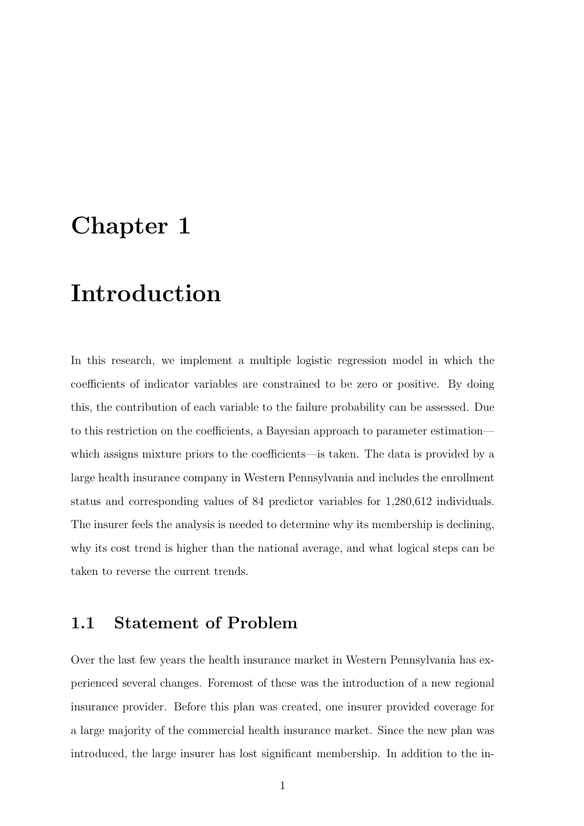## Chapter 1

## Introduction

In this research, we implement a multiple logistic regression model in which the coefficients of indicator variables are constrained to be zero or positive. By doing this, the contribution of each variable to the failure probability can be assessed. Due to this restriction on the coefficients, a Bayesian approach to parameter estimation which assigns mixture priors to the coefficients—is taken. The data is provided by a large health insurance company in Western Pennsylvania and includes the enrollment status and corresponding values of 84 predictor variables for 1,280,612 individuals. The insurer feels the analysis is needed to determine why its membership is declining, why its cost trend is higher than the national average, and what logical steps can be taken to reverse the current trends.

### 1.1 Statement of Problem

Over the last few years the health insurance market in Western Pennsylvania has experienced several changes. Foremost of these was the introduction of a new regional insurance provider. Before this plan was created, one insurer provided coverage for a large majority of the commercial health insurance market. Since the new plan was introduced, the large insurer has lost significant membership. In addition to the in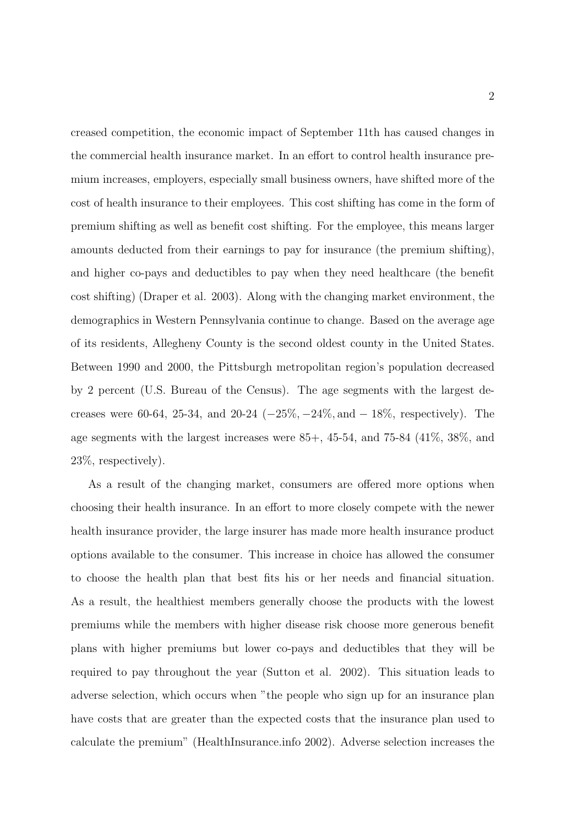creased competition, the economic impact of September 11th has caused changes in the commercial health insurance market. In an effort to control health insurance premium increases, employers, especially small business owners, have shifted more of the cost of health insurance to their employees. This cost shifting has come in the form of premium shifting as well as benefit cost shifting. For the employee, this means larger amounts deducted from their earnings to pay for insurance (the premium shifting), and higher co-pays and deductibles to pay when they need healthcare (the benefit cost shifting) (Draper et al. 2003). Along with the changing market environment, the demographics in Western Pennsylvania continue to change. Based on the average age of its residents, Allegheny County is the second oldest county in the United States. Between 1990 and 2000, the Pittsburgh metropolitan region's population decreased by 2 percent (U.S. Bureau of the Census). The age segments with the largest decreases were 60-64, 25-34, and 20-24  $(-25\%, -24\%, \text{and } -18\%, \text{ respectively})$ . The age segments with the largest increases were  $85+$ ,  $45-54$ , and  $75-84$   $(41\%, 38\%, \text{and})$ 23%, respectively).

As a result of the changing market, consumers are offered more options when choosing their health insurance. In an effort to more closely compete with the newer health insurance provider, the large insurer has made more health insurance product options available to the consumer. This increase in choice has allowed the consumer to choose the health plan that best fits his or her needs and financial situation. As a result, the healthiest members generally choose the products with the lowest premiums while the members with higher disease risk choose more generous benefit plans with higher premiums but lower co-pays and deductibles that they will be required to pay throughout the year (Sutton et al. 2002). This situation leads to adverse selection, which occurs when "the people who sign up for an insurance plan have costs that are greater than the expected costs that the insurance plan used to calculate the premium" (HealthInsurance.info 2002). Adverse selection increases the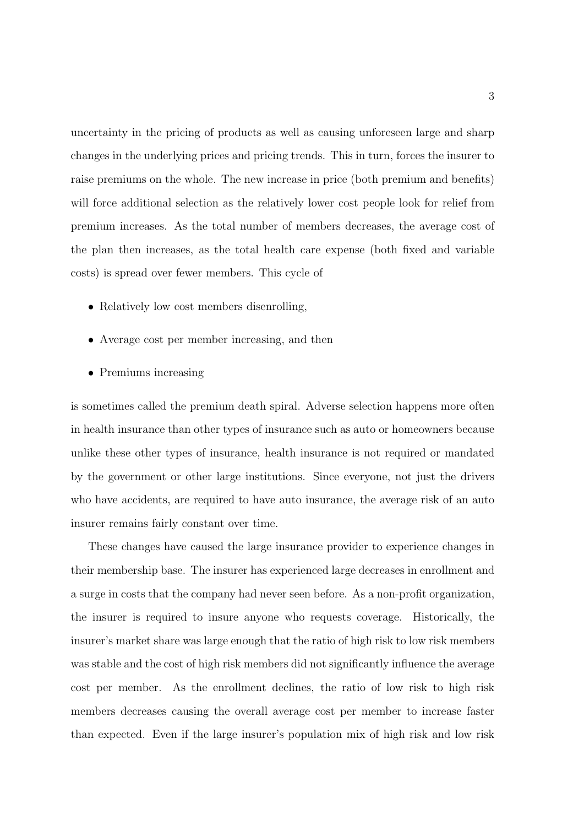uncertainty in the pricing of products as well as causing unforeseen large and sharp changes in the underlying prices and pricing trends. This in turn, forces the insurer to raise premiums on the whole. The new increase in price (both premium and benefits) will force additional selection as the relatively lower cost people look for relief from premium increases. As the total number of members decreases, the average cost of the plan then increases, as the total health care expense (both fixed and variable costs) is spread over fewer members. This cycle of

- Relatively low cost members disenrolling,
- Average cost per member increasing, and then
- Premiums increasing

is sometimes called the premium death spiral. Adverse selection happens more often in health insurance than other types of insurance such as auto or homeowners because unlike these other types of insurance, health insurance is not required or mandated by the government or other large institutions. Since everyone, not just the drivers who have accidents, are required to have auto insurance, the average risk of an auto insurer remains fairly constant over time.

These changes have caused the large insurance provider to experience changes in their membership base. The insurer has experienced large decreases in enrollment and a surge in costs that the company had never seen before. As a non-profit organization, the insurer is required to insure anyone who requests coverage. Historically, the insurer's market share was large enough that the ratio of high risk to low risk members was stable and the cost of high risk members did not significantly influence the average cost per member. As the enrollment declines, the ratio of low risk to high risk members decreases causing the overall average cost per member to increase faster than expected. Even if the large insurer's population mix of high risk and low risk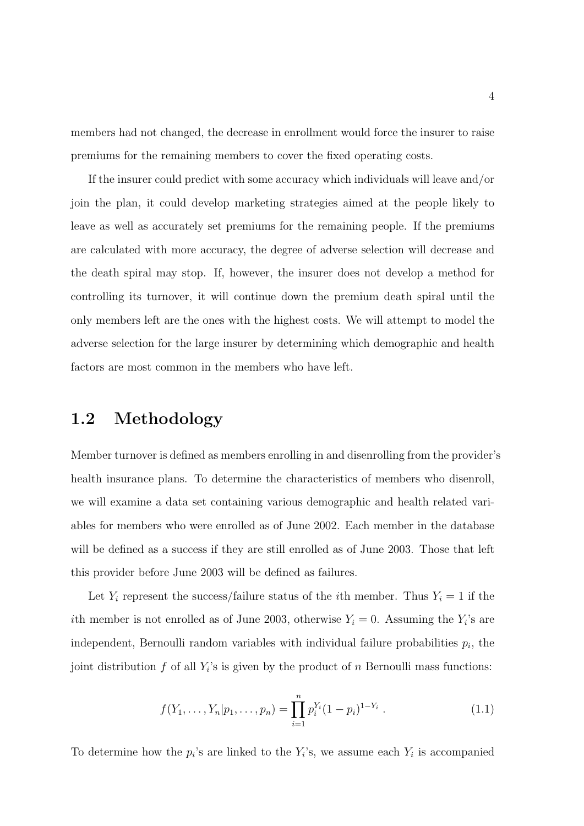members had not changed, the decrease in enrollment would force the insurer to raise premiums for the remaining members to cover the fixed operating costs.

If the insurer could predict with some accuracy which individuals will leave and/or join the plan, it could develop marketing strategies aimed at the people likely to leave as well as accurately set premiums for the remaining people. If the premiums are calculated with more accuracy, the degree of adverse selection will decrease and the death spiral may stop. If, however, the insurer does not develop a method for controlling its turnover, it will continue down the premium death spiral until the only members left are the ones with the highest costs. We will attempt to model the adverse selection for the large insurer by determining which demographic and health factors are most common in the members who have left.

### 1.2 Methodology

Member turnover is defined as members enrolling in and disenrolling from the provider's health insurance plans. To determine the characteristics of members who disenroll, we will examine a data set containing various demographic and health related variables for members who were enrolled as of June 2002. Each member in the database will be defined as a success if they are still enrolled as of June 2003. Those that left this provider before June 2003 will be defined as failures.

Let  $Y_i$  represent the success/failure status of the *i*th member. Thus  $Y_i = 1$  if the *i*th member is not enrolled as of June 2003, otherwise  $Y_i = 0$ . Assuming the  $Y_i$ 's are independent, Bernoulli random variables with individual failure probabilities  $p_i$ , the joint distribution  $f$  of all  $Y_i$ 's is given by the product of  $n$  Bernoulli mass functions:

$$
f(Y_1, \ldots, Y_n | p_1, \ldots, p_n) = \prod_{i=1}^n p_i^{Y_i} (1 - p_i)^{1 - Y_i} . \qquad (1.1)
$$

To determine how the  $p_i$ 's are linked to the  $Y_i$ 's, we assume each  $Y_i$  is accompanied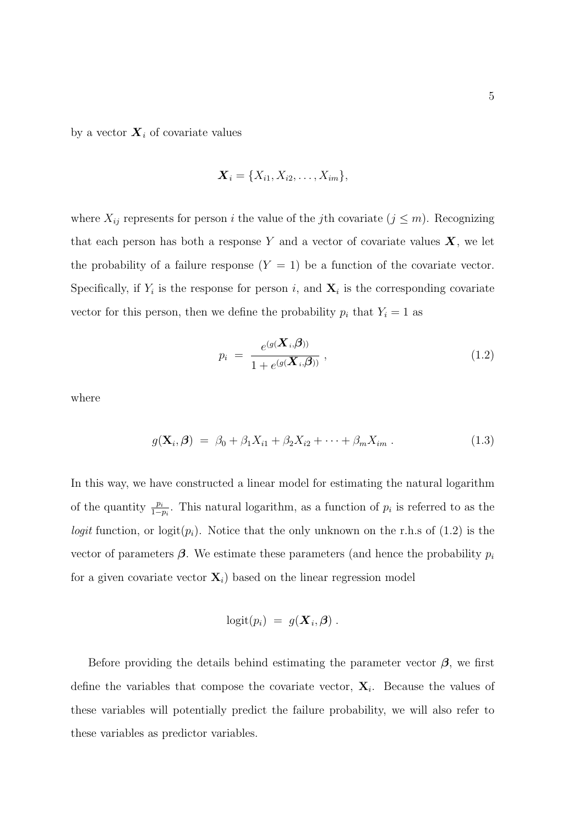by a vector  $\boldsymbol{X}_i$  of covariate values

$$
\mathbf{X}_i = \{X_{i1}, X_{i2}, \ldots, X_{im}\},\
$$

where  $X_{ij}$  represents for person i the value of the jth covariate  $(j \leq m)$ . Recognizing that each person has both a response Y and a vector of covariate values  $X$ , we let the probability of a failure response  $(Y = 1)$  be a function of the covariate vector. Specifically, if  $Y_i$  is the response for person i, and  $\mathbf{X}_i$  is the corresponding covariate vector for this person, then we define the probability  $p_i$  that  $Y_i = 1$  as

$$
p_i = \frac{e^{(g(\boldsymbol{X}_i,\boldsymbol{\beta}))}}{1 + e^{(g(\boldsymbol{X}_i,\boldsymbol{\beta}))}} ,
$$
\n(1.2)

where

$$
g(\mathbf{X}_i, \boldsymbol{\beta}) = \beta_0 + \beta_1 X_{i1} + \beta_2 X_{i2} + \dots + \beta_m X_{im} . \qquad (1.3)
$$

In this way, we have constructed a linear model for estimating the natural logarithm of the quantity  $\frac{p_i}{1-p_i}$ . This natural logarithm, as a function of  $p_i$  is referred to as the logit function, or logit $(p_i)$ . Notice that the only unknown on the r.h.s of (1.2) is the vector of parameters  $\beta$ . We estimate these parameters (and hence the probability  $p_i$ for a given covariate vector  $\mathbf{X}_i$ ) based on the linear regression model

$$
logit(p_i) = g(\boldsymbol{X}_i, \boldsymbol{\beta}) .
$$

Before providing the details behind estimating the parameter vector  $\beta$ , we first define the variables that compose the covariate vector,  $\mathbf{X}_i$ . Because the values of these variables will potentially predict the failure probability, we will also refer to these variables as predictor variables.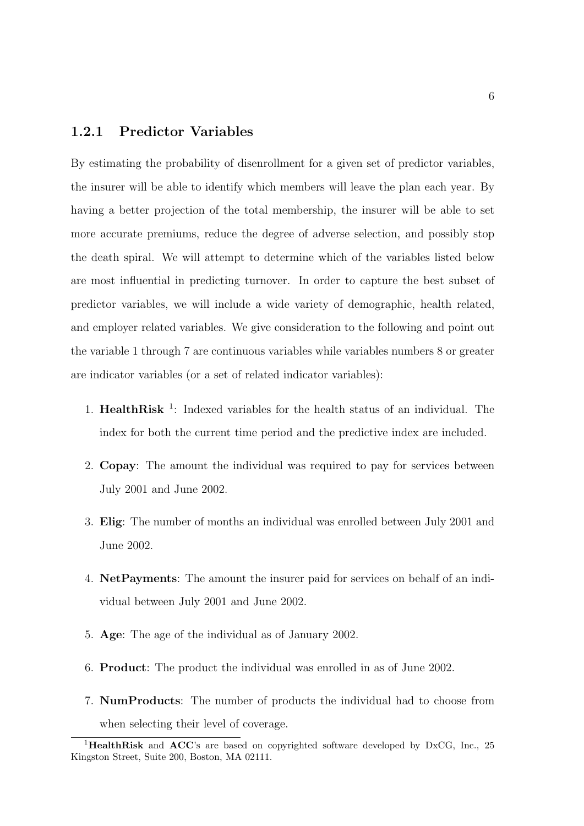#### 1.2.1 Predictor Variables

By estimating the probability of disenrollment for a given set of predictor variables, the insurer will be able to identify which members will leave the plan each year. By having a better projection of the total membership, the insurer will be able to set more accurate premiums, reduce the degree of adverse selection, and possibly stop the death spiral. We will attempt to determine which of the variables listed below are most influential in predicting turnover. In order to capture the best subset of predictor variables, we will include a wide variety of demographic, health related, and employer related variables. We give consideration to the following and point out the variable 1 through 7 are continuous variables while variables numbers 8 or greater are indicator variables (or a set of related indicator variables):

- 1. HealthRisk<sup>1</sup>: Indexed variables for the health status of an individual. The index for both the current time period and the predictive index are included.
- 2. Copay: The amount the individual was required to pay for services between July 2001 and June 2002.
- 3. Elig: The number of months an individual was enrolled between July 2001 and June 2002.
- 4. NetPayments: The amount the insurer paid for services on behalf of an individual between July 2001 and June 2002.
- 5. Age: The age of the individual as of January 2002.
- 6. Product: The product the individual was enrolled in as of June 2002.
- 7. NumProducts: The number of products the individual had to choose from when selecting their level of coverage.

<sup>&</sup>lt;sup>1</sup>HealthRisk and ACC's are based on copyrighted software developed by DxCG, Inc., 25 Kingston Street, Suite 200, Boston, MA 02111.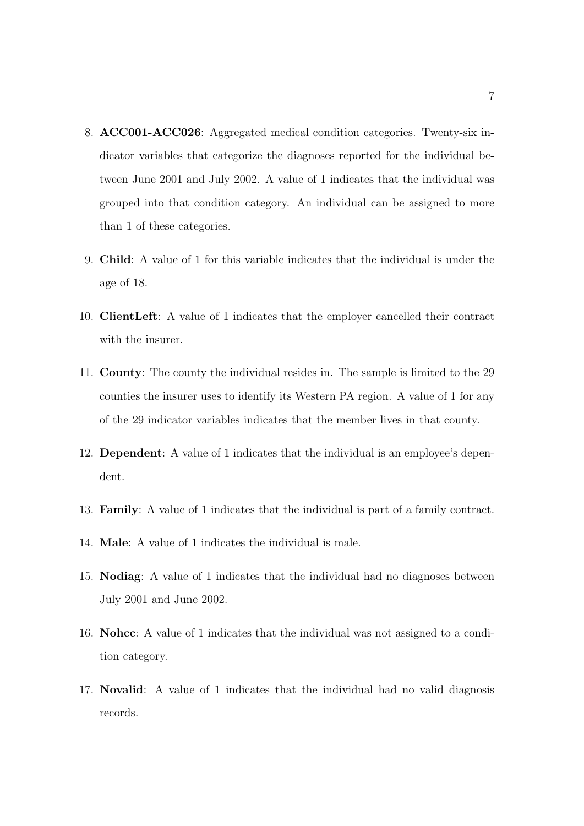- 8. ACC001-ACC026: Aggregated medical condition categories. Twenty-six indicator variables that categorize the diagnoses reported for the individual between June 2001 and July 2002. A value of 1 indicates that the individual was grouped into that condition category. An individual can be assigned to more than 1 of these categories.
- 9. Child: A value of 1 for this variable indicates that the individual is under the age of 18.
- 10. ClientLeft: A value of 1 indicates that the employer cancelled their contract with the insurer.
- 11. County: The county the individual resides in. The sample is limited to the 29 counties the insurer uses to identify its Western PA region. A value of 1 for any of the 29 indicator variables indicates that the member lives in that county.
- 12. Dependent: A value of 1 indicates that the individual is an employee's dependent.
- 13. Family: A value of 1 indicates that the individual is part of a family contract.
- 14. Male: A value of 1 indicates the individual is male.
- 15. Nodiag: A value of 1 indicates that the individual had no diagnoses between July 2001 and June 2002.
- 16. Nohcc: A value of 1 indicates that the individual was not assigned to a condition category.
- 17. Novalid: A value of 1 indicates that the individual had no valid diagnosis records.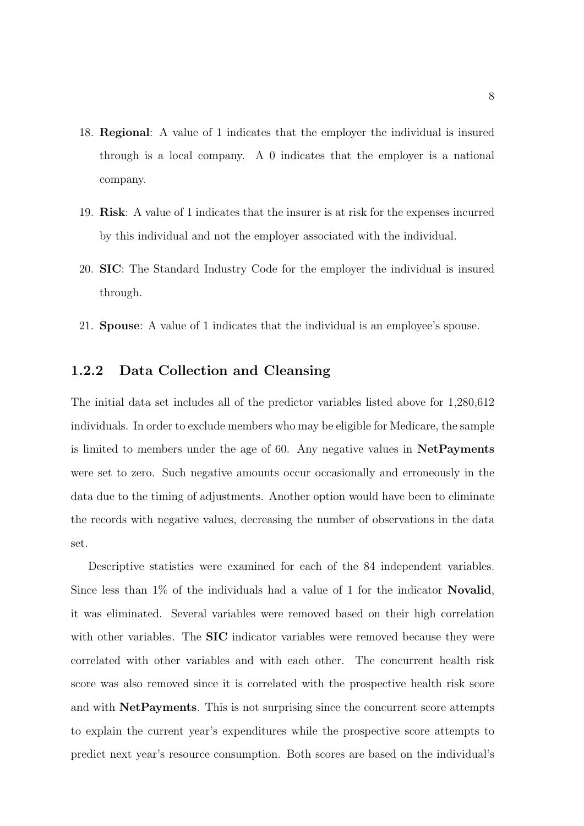- 18. Regional: A value of 1 indicates that the employer the individual is insured through is a local company. A 0 indicates that the employer is a national company.
- 19. Risk: A value of 1 indicates that the insurer is at risk for the expenses incurred by this individual and not the employer associated with the individual.
- 20. SIC: The Standard Industry Code for the employer the individual is insured through.
- 21. Spouse: A value of 1 indicates that the individual is an employee's spouse.

#### 1.2.2 Data Collection and Cleansing

The initial data set includes all of the predictor variables listed above for 1,280,612 individuals. In order to exclude members who may be eligible for Medicare, the sample is limited to members under the age of 60. Any negative values in NetPayments were set to zero. Such negative amounts occur occasionally and erroneously in the data due to the timing of adjustments. Another option would have been to eliminate the records with negative values, decreasing the number of observations in the data set.

Descriptive statistics were examined for each of the 84 independent variables. Since less than 1% of the individuals had a value of 1 for the indicator Novalid, it was eliminated. Several variables were removed based on their high correlation with other variables. The **SIC** indicator variables were removed because they were correlated with other variables and with each other. The concurrent health risk score was also removed since it is correlated with the prospective health risk score and with NetPayments. This is not surprising since the concurrent score attempts to explain the current year's expenditures while the prospective score attempts to predict next year's resource consumption. Both scores are based on the individual's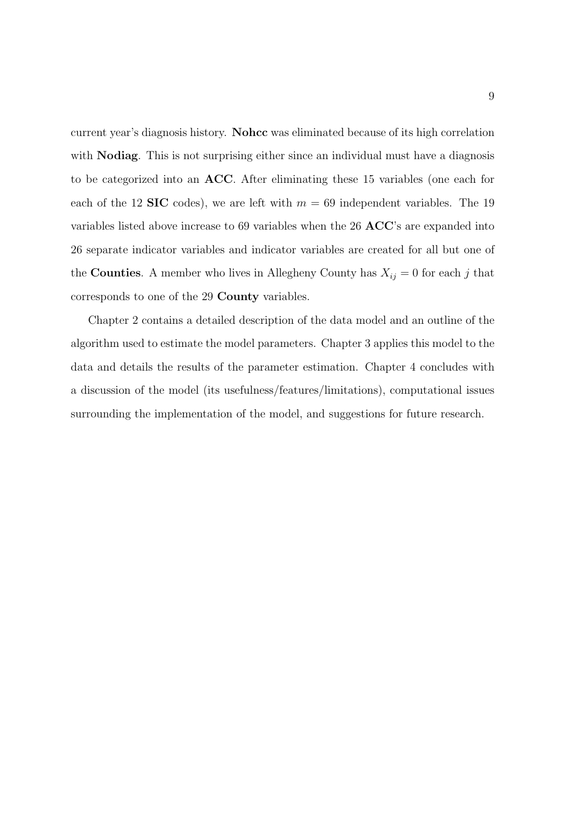current year's diagnosis history. Nohcc was eliminated because of its high correlation with **Nodiag**. This is not surprising either since an individual must have a diagnosis to be categorized into an ACC. After eliminating these 15 variables (one each for each of the 12 **SIC** codes), we are left with  $m = 69$  independent variables. The 19 variables listed above increase to 69 variables when the 26 ACC's are expanded into 26 separate indicator variables and indicator variables are created for all but one of the **Counties**. A member who lives in Allegheny County has  $X_{ij} = 0$  for each j that corresponds to one of the 29 County variables.

Chapter 2 contains a detailed description of the data model and an outline of the algorithm used to estimate the model parameters. Chapter 3 applies this model to the data and details the results of the parameter estimation. Chapter 4 concludes with a discussion of the model (its usefulness/features/limitations), computational issues surrounding the implementation of the model, and suggestions for future research.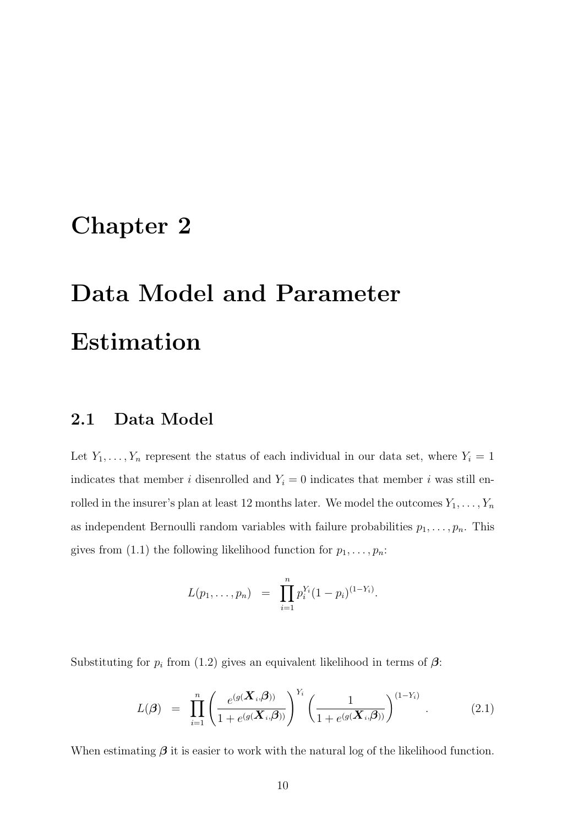## Chapter 2

# Data Model and Parameter Estimation

### 2.1 Data Model

Let  $Y_1, \ldots, Y_n$  represent the status of each individual in our data set, where  $Y_i = 1$ indicates that member i disenrolled and  $Y_i = 0$  indicates that member i was still enrolled in the insurer's plan at least 12 months later. We model the outcomes  $Y_1, \ldots, Y_n$ as independent Bernoulli random variables with failure probabilities  $p_1, \ldots, p_n$ . This gives from (1.1) the following likelihood function for  $p_1, \ldots, p_n$ :

$$
L(p_1,\ldots,p_n) = \prod_{i=1}^n p_i^{Y_i} (1-p_i)^{(1-Y_i)}.
$$

Substituting for  $p_i$  from (1.2) gives an equivalent likelihood in terms of  $\beta$ :

$$
L(\boldsymbol{\beta}) = \prod_{i=1}^{n} \left( \frac{e^{(g(\boldsymbol{X}_i, \boldsymbol{\beta}))}}{1 + e^{(g(\boldsymbol{X}_i, \boldsymbol{\beta}))}} \right)^{Y_i} \left( \frac{1}{1 + e^{(g(\boldsymbol{X}_i, \boldsymbol{\beta}))}} \right)^{(1 - Y_i)}.
$$
 (2.1)

When estimating  $\beta$  it is easier to work with the natural log of the likelihood function.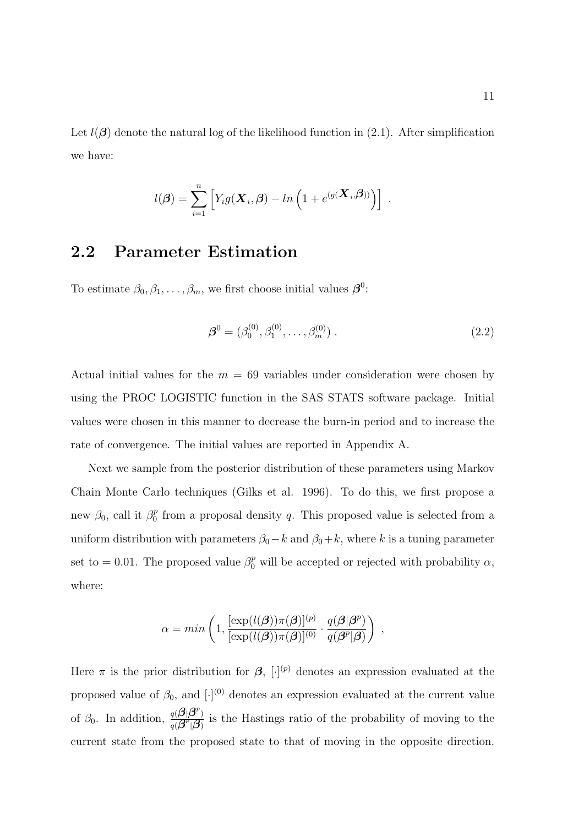Let  $l(\boldsymbol{\beta})$  denote the natural log of the likelihood function in (2.1). After simplification we have:

$$
l(\boldsymbol{\beta}) = \sum_{i=1}^n \left[ Y_i g(\boldsymbol{X}_i, \boldsymbol{\beta}) - ln \left( 1 + e^{(g(\boldsymbol{X}_i, \boldsymbol{\beta}))} \right) \right] .
$$

### 2.2 Parameter Estimation

To estimate  $\beta_0, \beta_1, \dots, \beta_m$ , we first choose initial values  $\beta^0$ :

$$
\boldsymbol{\beta}^{0} = (\beta_0^{(0)}, \beta_1^{(0)}, \dots, \beta_m^{(0)})
$$
 (2.2)

Actual initial values for the  $m = 69$  variables under consideration were chosen by using the PROC LOGISTIC function in the SAS STATS software package. Initial values were chosen in this manner to decrease the burn-in period and to increase the rate of convergence. The initial values are reported in Appendix A.

Next we sample from the posterior distribution of these parameters using Markov Chain Monte Carlo techniques (Gilks et al. 1996). To do this, we first propose a new  $\beta_0$ , call it  $\beta_0^p$  $_0^p$  from a proposal density q. This proposed value is selected from a uniform distribution with parameters  $\beta_0 - k$  and  $\beta_0 + k$ , where k is a tuning parameter set to = 0.01. The proposed value  $\beta_0^p$  will be accepted or rejected with probability  $\alpha$ , where:

$$
\alpha = \min \left( 1, \frac{[\exp(l(\boldsymbol{\beta}))\pi(\boldsymbol{\beta})]^{(p)}}{[\exp(l(\boldsymbol{\beta}))\pi(\boldsymbol{\beta})]^{(0)}} \cdot \frac{q(\boldsymbol{\beta}|\boldsymbol{\beta}^p)}{q(\boldsymbol{\beta}^p|\boldsymbol{\beta})} \right) ,
$$

Here  $\pi$  is the prior distribution for  $\beta$ ,  $[\cdot]^{(p)}$  denotes an expression evaluated at the proposed value of  $\beta_0$ , and  $[\cdot]^{(0)}$  denotes an expression evaluated at the current value of  $\beta_0$ . In addition,  $\frac{q(\boldsymbol{\beta}|\boldsymbol{\beta}^p)}{q(\boldsymbol{\beta}^p|\boldsymbol{\beta})}$  $\frac{q(\mathcal{P}|\mathcal{P})}{q(\mathcal{J}^p|\mathcal{G})}$  is the Hastings ratio of the probability of moving to the current state from the proposed state to that of moving in the opposite direction.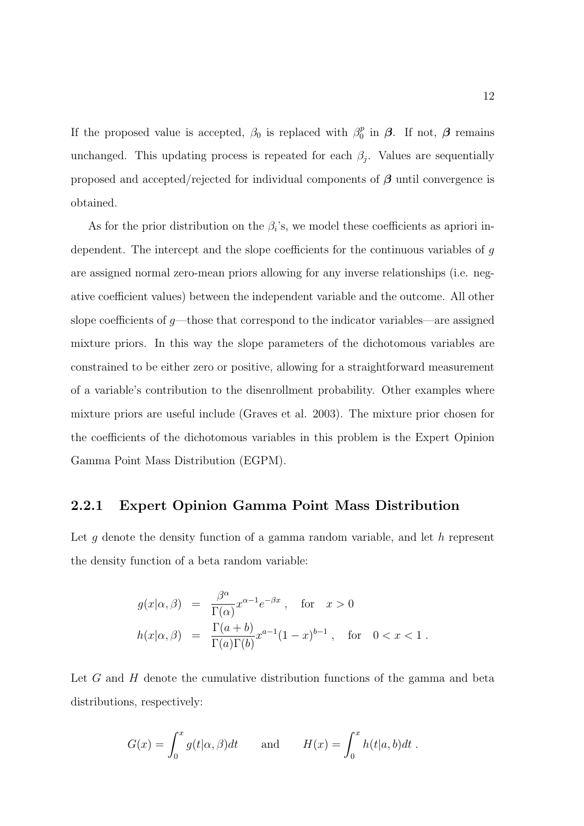If the proposed value is accepted,  $\beta_0$  is replaced with  $\beta_0^p$  $\int_0^p$  in  $\beta$ . If not,  $\beta$  remains unchanged. This updating process is repeated for each  $\beta_j$ . Values are sequentially proposed and accepted/rejected for individual components of  $\beta$  until convergence is obtained.

As for the prior distribution on the  $\beta_i$ 's, we model these coefficients as apriori independent. The intercept and the slope coefficients for the continuous variables of g are assigned normal zero-mean priors allowing for any inverse relationships (i.e. negative coefficient values) between the independent variable and the outcome. All other slope coefficients of  $g$ —those that correspond to the indicator variables—are assigned mixture priors. In this way the slope parameters of the dichotomous variables are constrained to be either zero or positive, allowing for a straightforward measurement of a variable's contribution to the disenrollment probability. Other examples where mixture priors are useful include (Graves et al. 2003). The mixture prior chosen for the coefficients of the dichotomous variables in this problem is the Expert Opinion Gamma Point Mass Distribution (EGPM).

#### 2.2.1 Expert Opinion Gamma Point Mass Distribution

Let  $g$  denote the density function of a gamma random variable, and let  $h$  represent the density function of a beta random variable:

$$
g(x|\alpha, \beta) = \frac{\beta^{\alpha}}{\Gamma(\alpha)} x^{\alpha - 1} e^{-\beta x}, \text{ for } x > 0
$$
  

$$
h(x|\alpha, \beta) = \frac{\Gamma(a+b)}{\Gamma(a)\Gamma(b)} x^{a-1} (1-x)^{b-1}, \text{ for } 0 < x < 1.
$$

Let  $G$  and  $H$  denote the cumulative distribution functions of the gamma and beta distributions, respectively:

$$
G(x) = \int_0^x g(t|\alpha, \beta)dt \quad \text{and} \quad H(x) = \int_0^x h(t|a, b)dt.
$$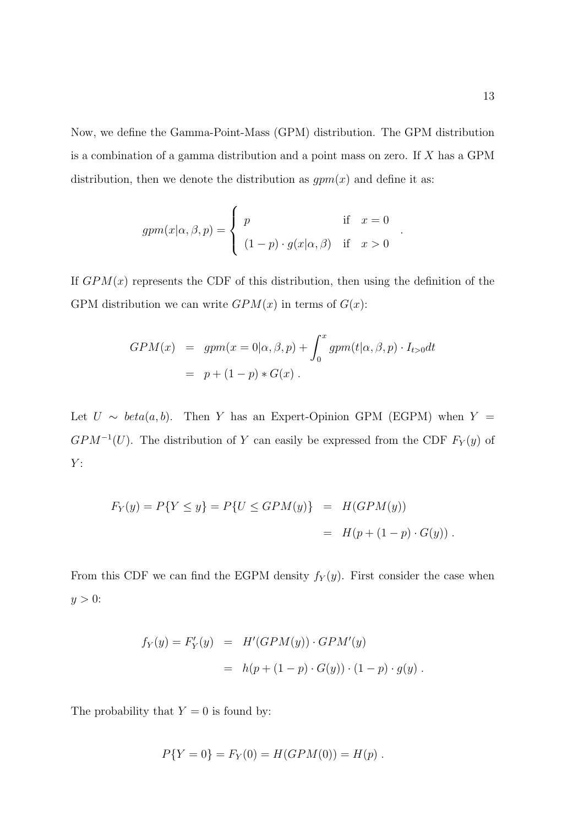Now, we define the Gamma-Point-Mass (GPM) distribution. The GPM distribution is a combination of a gamma distribution and a point mass on zero. If X has a GPM distribution, then we denote the distribution as  $gpm(x)$  and define it as:

$$
gpm(x|\alpha, \beta, p) = \begin{cases} p & \text{if } x = 0 \\ (1-p) \cdot g(x|\alpha, \beta) & \text{if } x > 0 \end{cases}
$$

If  $GPM(x)$  represents the CDF of this distribution, then using the definition of the GPM distribution we can write  $GPM(x)$  in terms of  $G(x)$ :

$$
GPM(x) = gpm(x = 0|\alpha, \beta, p) + \int_0^x gpm(t|\alpha, \beta, p) \cdot I_{t>0} dt
$$

$$
= p + (1 - p) * G(x).
$$

Let  $U \sim beta(a, b)$ . Then Y has an Expert-Opinion GPM (EGPM) when Y =  $GPM^{-1}(U)$ . The distribution of Y can easily be expressed from the CDF  $F_Y(y)$  of  $Y:$ 

$$
F_Y(y) = P\{Y \le y\} = P\{U \le GPM(y)\} = H(GPM(y))
$$
  
=  $H(p + (1 - p) \cdot G(y)).$ 

From this CDF we can find the EGPM density  $f_Y(y)$ . First consider the case when  $y > 0$ :

$$
f_Y(y) = F'_Y(y) = H'(GPM(y)) \cdot GPM'(y)
$$
  
=  $h(p + (1 - p) \cdot G(y)) \cdot (1 - p) \cdot g(y)$ .

The probability that  $Y = 0$  is found by:

$$
P{Y = 0} = F_Y(0) = H(GPM(0)) = H(p).
$$

.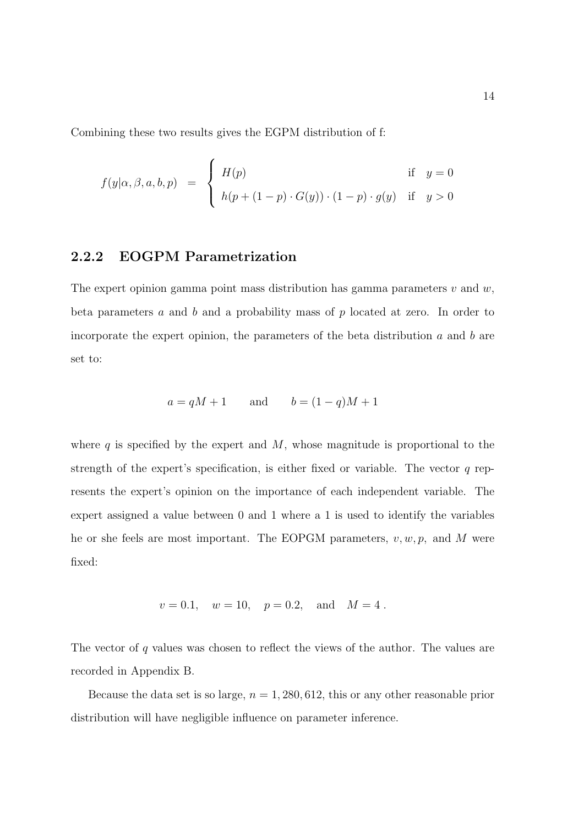Combining these two results gives the EGPM distribution of f:

$$
f(y|\alpha, \beta, a, b, p) = \begin{cases} H(p) & \text{if } y = 0\\ h(p + (1 - p) \cdot G(y)) \cdot (1 - p) \cdot g(y) & \text{if } y > 0 \end{cases}
$$

#### 2.2.2 EOGPM Parametrization

The expert opinion gamma point mass distribution has gamma parameters  $v$  and  $w$ , beta parameters  $a$  and  $b$  and a probability mass of  $p$  located at zero. In order to incorporate the expert opinion, the parameters of the beta distribution a and b are set to:

$$
a = qM + 1 \qquad \text{and} \qquad b = (1 - q)M + 1
$$

where  $q$  is specified by the expert and  $M$ , whose magnitude is proportional to the strength of the expert's specification, is either fixed or variable. The vector  $q$  represents the expert's opinion on the importance of each independent variable. The expert assigned a value between 0 and 1 where a 1 is used to identify the variables he or she feels are most important. The EOPGM parameters,  $v, w, p$ , and M were fixed:

$$
v = 0.1
$$
,  $w = 10$ ,  $p = 0.2$ , and  $M = 4$ .

The vector of q values was chosen to reflect the views of the author. The values are recorded in Appendix B.

Because the data set is so large,  $n = 1,280,612$ , this or any other reasonable prior distribution will have negligible influence on parameter inference.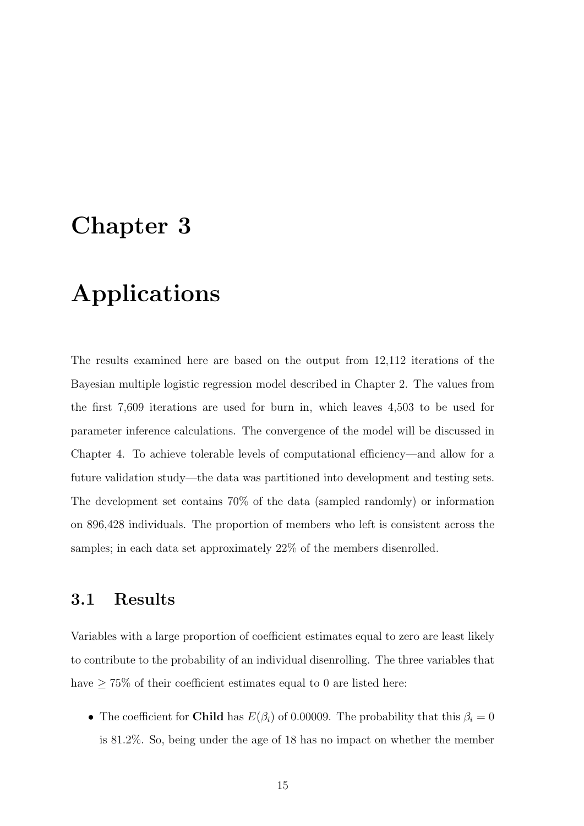## Chapter 3

# Applications

The results examined here are based on the output from 12,112 iterations of the Bayesian multiple logistic regression model described in Chapter 2. The values from the first 7,609 iterations are used for burn in, which leaves 4,503 to be used for parameter inference calculations. The convergence of the model will be discussed in Chapter 4. To achieve tolerable levels of computational efficiency—and allow for a future validation study—the data was partitioned into development and testing sets. The development set contains 70% of the data (sampled randomly) or information on 896,428 individuals. The proportion of members who left is consistent across the samples; in each data set approximately 22% of the members disenrolled.

### 3.1 Results

Variables with a large proportion of coefficient estimates equal to zero are least likely to contribute to the probability of an individual disenrolling. The three variables that have  $\geq 75\%$  of their coefficient estimates equal to 0 are listed here:

• The coefficient for **Child** has  $E(\beta_i)$  of 0.00009. The probability that this  $\beta_i = 0$ is 81.2%. So, being under the age of 18 has no impact on whether the member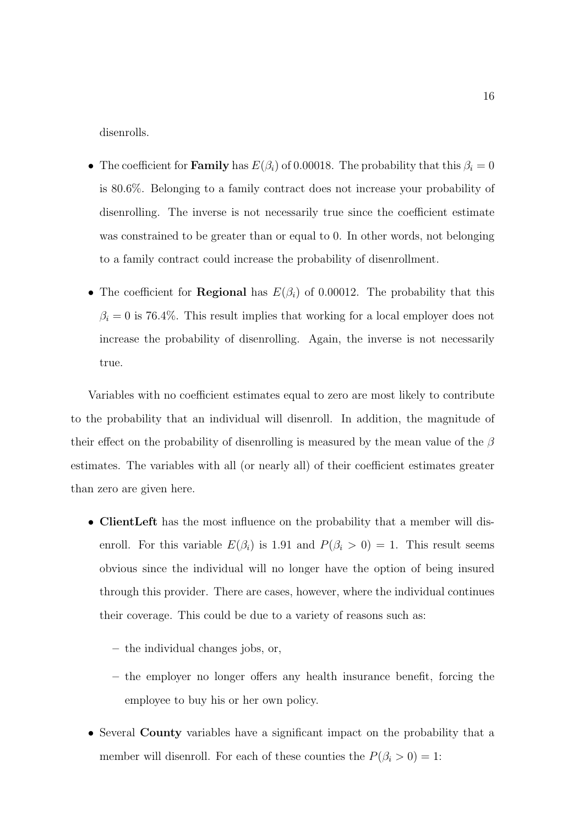disenrolls.

- The coefficient for **Family** has  $E(\beta_i)$  of 0.00018. The probability that this  $\beta_i = 0$ is 80.6%. Belonging to a family contract does not increase your probability of disenrolling. The inverse is not necessarily true since the coefficient estimate was constrained to be greater than or equal to 0. In other words, not belonging to a family contract could increase the probability of disenrollment.
- The coefficient for **Regional** has  $E(\beta_i)$  of 0.00012. The probability that this  $\beta_i = 0$  is 76.4%. This result implies that working for a local employer does not increase the probability of disenrolling. Again, the inverse is not necessarily true.

Variables with no coefficient estimates equal to zero are most likely to contribute to the probability that an individual will disenroll. In addition, the magnitude of their effect on the probability of disenrolling is measured by the mean value of the  $\beta$ estimates. The variables with all (or nearly all) of their coefficient estimates greater than zero are given here.

- ClientLeft has the most influence on the probability that a member will disenroll. For this variable  $E(\beta_i)$  is 1.91 and  $P(\beta_i > 0) = 1$ . This result seems obvious since the individual will no longer have the option of being insured through this provider. There are cases, however, where the individual continues their coverage. This could be due to a variety of reasons such as:
	- the individual changes jobs, or,
	- the employer no longer offers any health insurance benefit, forcing the employee to buy his or her own policy.
- Several County variables have a significant impact on the probability that a member will disenroll. For each of these counties the  $P(\beta_i > 0) = 1$ :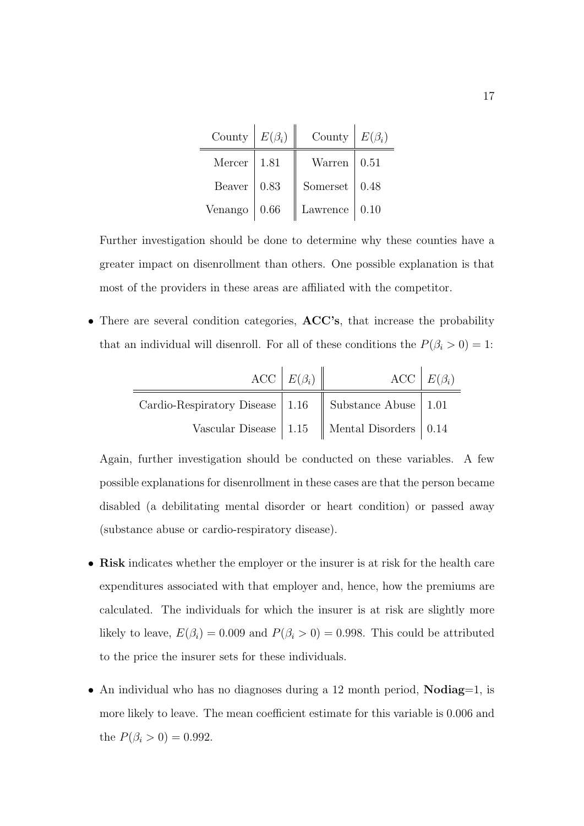| County  | $E(\beta_i)$ | County   | $E(\beta_i)$ |
|---------|--------------|----------|--------------|
| Mercer  | 1.81         | Warren   | 0.51         |
| Beaver  | 0.83         | Somerset | 0.48         |
| Venango | 0.66         | Lawrence | 0.10         |

Further investigation should be done to determine why these counties have a greater impact on disenrollment than others. One possible explanation is that most of the providers in these areas are affiliated with the competitor.

• There are several condition categories, **ACC's**, that increase the probability that an individual will disenroll. For all of these conditions the  $P(\beta_i > 0) = 1$ :

|                                                            | $\text{ACC} \mid E(\beta_i) \parallel$ |                                                                     | ACC $E(\beta_i)$ |
|------------------------------------------------------------|----------------------------------------|---------------------------------------------------------------------|------------------|
| Cardio-Respiratory Disease   1.16   Substance Abuse   1.01 |                                        |                                                                     |                  |
|                                                            |                                        | Vascular Disease $\vert$ 1.15 $\vert$ Mental Disorders $\vert$ 0.14 |                  |

Again, further investigation should be conducted on these variables. A few possible explanations for disenrollment in these cases are that the person became disabled (a debilitating mental disorder or heart condition) or passed away (substance abuse or cardio-respiratory disease).

- Risk indicates whether the employer or the insurer is at risk for the health care expenditures associated with that employer and, hence, how the premiums are calculated. The individuals for which the insurer is at risk are slightly more likely to leave,  $E(\beta_i) = 0.009$  and  $P(\beta_i > 0) = 0.998$ . This could be attributed to the price the insurer sets for these individuals.
- An individual who has no diagnoses during a 12 month period, **Nodiag**=1, is more likely to leave. The mean coefficient estimate for this variable is 0.006 and the  $P(\beta_i > 0) = 0.992$ .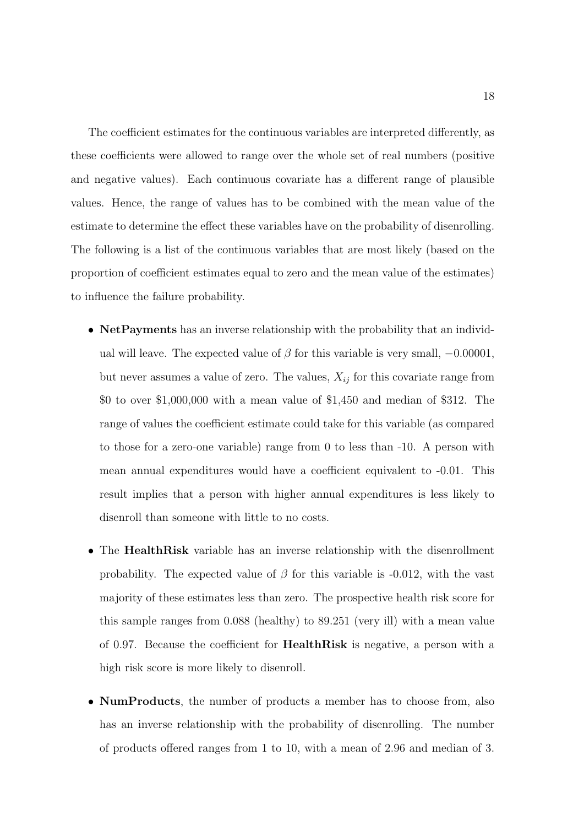The coefficient estimates for the continuous variables are interpreted differently, as these coefficients were allowed to range over the whole set of real numbers (positive and negative values). Each continuous covariate has a different range of plausible values. Hence, the range of values has to be combined with the mean value of the estimate to determine the effect these variables have on the probability of disenrolling. The following is a list of the continuous variables that are most likely (based on the proportion of coefficient estimates equal to zero and the mean value of the estimates) to influence the failure probability.

- Net Payments has an inverse relationship with the probability that an individual will leave. The expected value of  $\beta$  for this variable is very small,  $-0.00001$ , but never assumes a value of zero. The values,  $X_{ij}$  for this covariate range from \$0 to over \$1,000,000 with a mean value of \$1,450 and median of \$312. The range of values the coefficient estimate could take for this variable (as compared to those for a zero-one variable) range from 0 to less than -10. A person with mean annual expenditures would have a coefficient equivalent to -0.01. This result implies that a person with higher annual expenditures is less likely to disenroll than someone with little to no costs.
- The HealthRisk variable has an inverse relationship with the disenrollment probability. The expected value of  $\beta$  for this variable is -0.012, with the vast majority of these estimates less than zero. The prospective health risk score for this sample ranges from 0.088 (healthy) to 89.251 (very ill) with a mean value of 0.97. Because the coefficient for HealthRisk is negative, a person with a high risk score is more likely to disenroll.
- NumProducts, the number of products a member has to choose from, also has an inverse relationship with the probability of disenrolling. The number of products offered ranges from 1 to 10, with a mean of 2.96 and median of 3.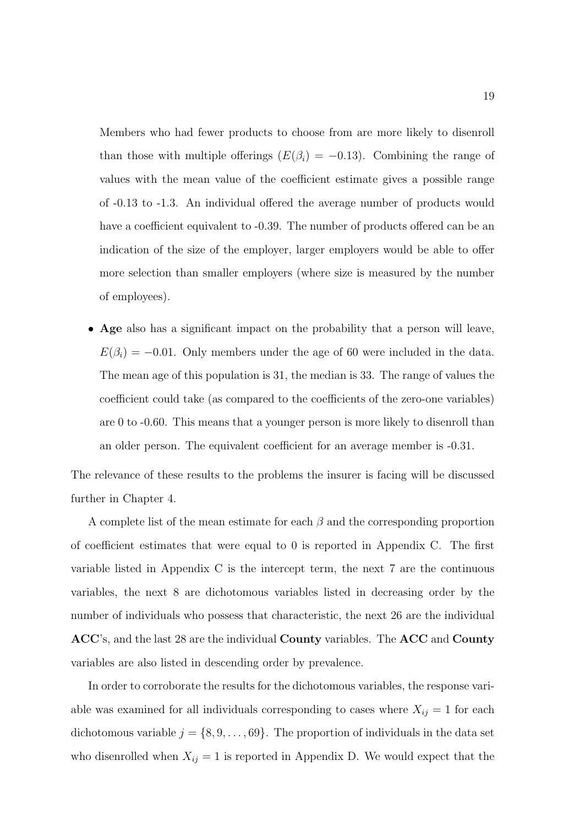Members who had fewer products to choose from are more likely to disenroll than those with multiple offerings  $(E(\beta_i) = -0.13)$ . Combining the range of values with the mean value of the coefficient estimate gives a possible range of -0.13 to -1.3. An individual offered the average number of products would have a coefficient equivalent to  $-0.39$ . The number of products offered can be an indication of the size of the employer, larger employers would be able to offer more selection than smaller employers (where size is measured by the number of employees).

• Age also has a significant impact on the probability that a person will leave,  $E(\beta_i) = -0.01$ . Only members under the age of 60 were included in the data. The mean age of this population is 31, the median is 33. The range of values the coefficient could take (as compared to the coefficients of the zero-one variables) are 0 to -0.60. This means that a younger person is more likely to disenroll than an older person. The equivalent coefficient for an average member is -0.31.

The relevance of these results to the problems the insurer is facing will be discussed further in Chapter 4.

A complete list of the mean estimate for each  $\beta$  and the corresponding proportion of coefficient estimates that were equal to 0 is reported in Appendix C. The first variable listed in Appendix C is the intercept term, the next 7 are the continuous variables, the next 8 are dichotomous variables listed in decreasing order by the number of individuals who possess that characteristic, the next 26 are the individual ACC's, and the last 28 are the individual County variables. The ACC and County variables are also listed in descending order by prevalence.

In order to corroborate the results for the dichotomous variables, the response variable was examined for all individuals corresponding to cases where  $X_{ij} = 1$  for each dichotomous variable  $j = \{8, 9, \ldots, 69\}$ . The proportion of individuals in the data set who disenrolled when  $X_{ij} = 1$  is reported in Appendix D. We would expect that the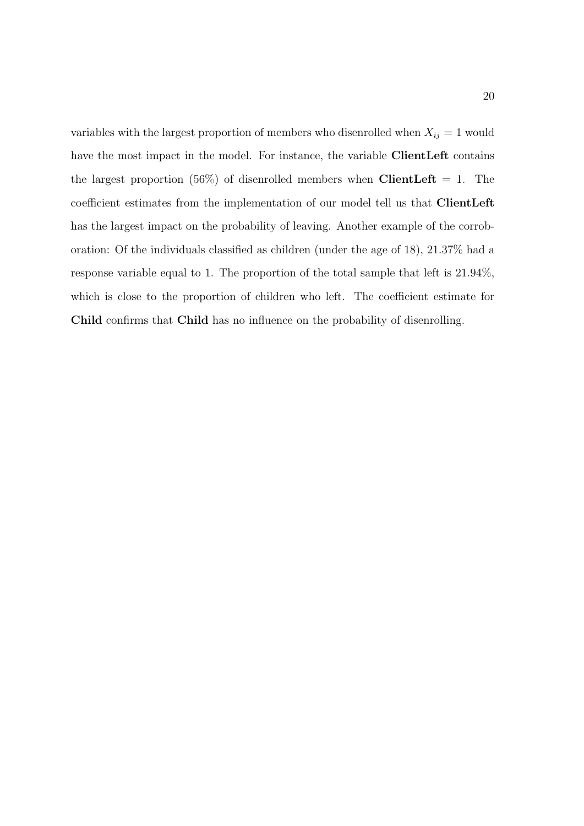variables with the largest proportion of members who disenrolled when  $X_{ij} = 1$  would have the most impact in the model. For instance, the variable ClientLeft contains the largest proportion (56%) of disenrolled members when ClientLeft = 1. The coefficient estimates from the implementation of our model tell us that ClientLeft has the largest impact on the probability of leaving. Another example of the corroboration: Of the individuals classified as children (under the age of 18), 21.37% had a response variable equal to 1. The proportion of the total sample that left is 21.94%, which is close to the proportion of children who left. The coefficient estimate for Child confirms that Child has no influence on the probability of disenrolling.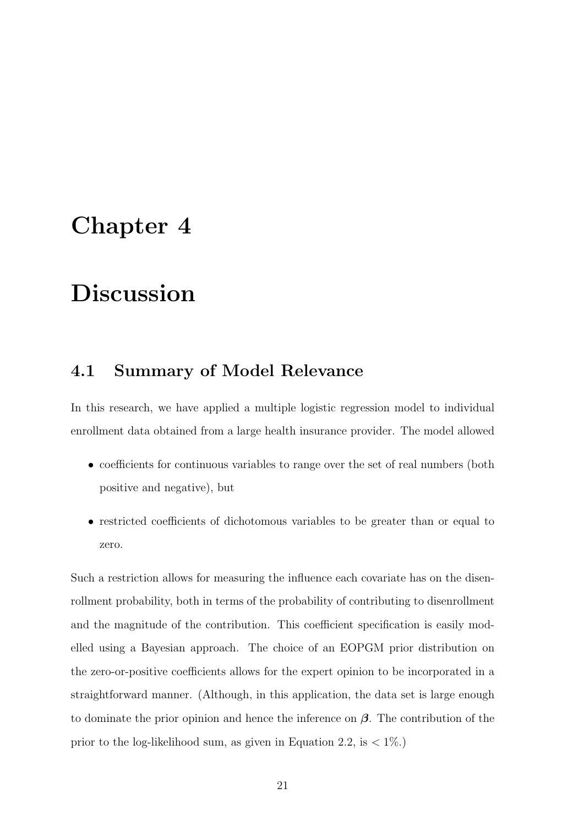## Chapter 4

## Discussion

### 4.1 Summary of Model Relevance

In this research, we have applied a multiple logistic regression model to individual enrollment data obtained from a large health insurance provider. The model allowed

- coefficients for continuous variables to range over the set of real numbers (both positive and negative), but
- restricted coefficients of dichotomous variables to be greater than or equal to zero.

Such a restriction allows for measuring the influence each covariate has on the disenrollment probability, both in terms of the probability of contributing to disenrollment and the magnitude of the contribution. This coefficient specification is easily modelled using a Bayesian approach. The choice of an EOPGM prior distribution on the zero-or-positive coefficients allows for the expert opinion to be incorporated in a straightforward manner. (Although, in this application, the data set is large enough to dominate the prior opinion and hence the inference on  $\beta$ . The contribution of the prior to the log-likelihood sum, as given in Equation 2.2, is  $\langle 1\% \rangle$ .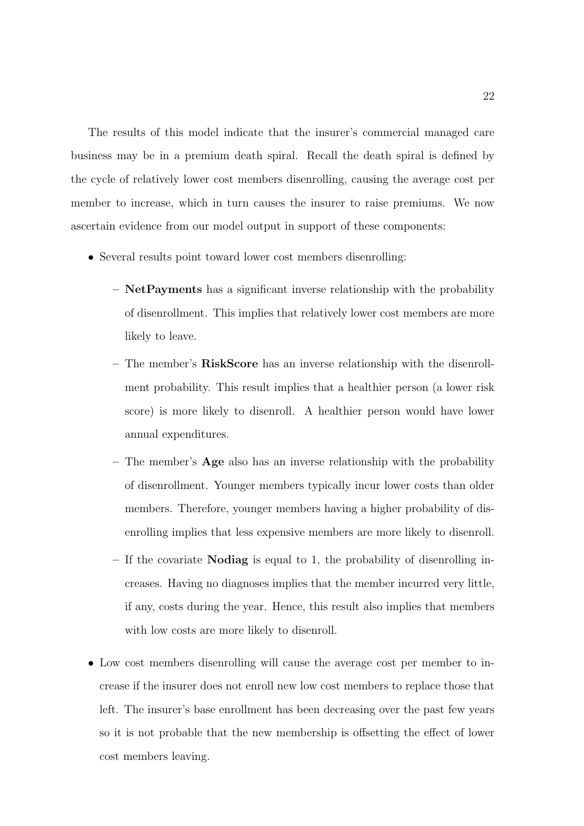The results of this model indicate that the insurer's commercial managed care business may be in a premium death spiral. Recall the death spiral is defined by the cycle of relatively lower cost members disenrolling, causing the average cost per member to increase, which in turn causes the insurer to raise premiums. We now ascertain evidence from our model output in support of these components:

- Several results point toward lower cost members disenrolling:
	- NetPayments has a significant inverse relationship with the probability of disenrollment. This implies that relatively lower cost members are more likely to leave.
	- The member's RiskScore has an inverse relationship with the disenrollment probability. This result implies that a healthier person (a lower risk score) is more likely to disenroll. A healthier person would have lower annual expenditures.
	- The member's  $\bf{Age}$  also has an inverse relationship with the probability of disenrollment. Younger members typically incur lower costs than older members. Therefore, younger members having a higher probability of disenrolling implies that less expensive members are more likely to disenroll.
	- If the covariate Nodiag is equal to 1, the probability of disenrolling increases. Having no diagnoses implies that the member incurred very little, if any, costs during the year. Hence, this result also implies that members with low costs are more likely to disenroll.
- Low cost members disenrolling will cause the average cost per member to increase if the insurer does not enroll new low cost members to replace those that left. The insurer's base enrollment has been decreasing over the past few years so it is not probable that the new membership is offsetting the effect of lower cost members leaving.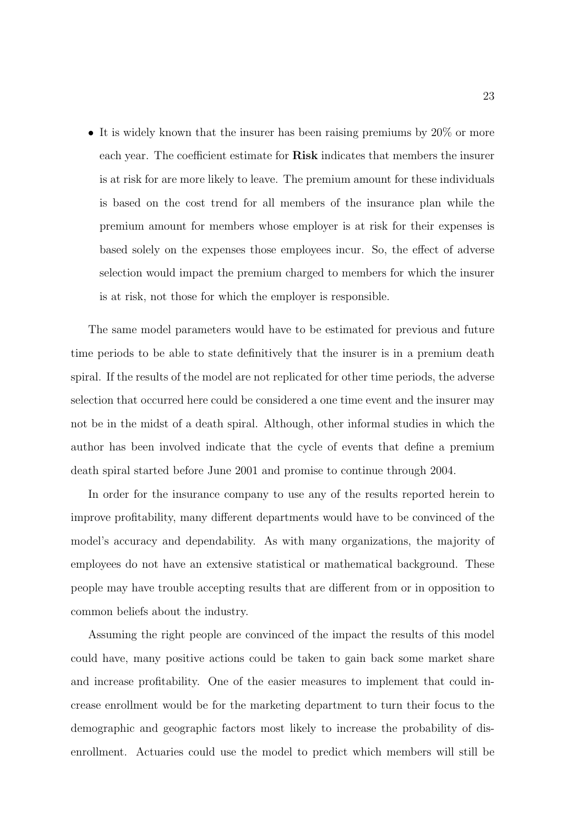• It is widely known that the insurer has been raising premiums by 20% or more each year. The coefficient estimate for Risk indicates that members the insurer is at risk for are more likely to leave. The premium amount for these individuals is based on the cost trend for all members of the insurance plan while the premium amount for members whose employer is at risk for their expenses is based solely on the expenses those employees incur. So, the effect of adverse selection would impact the premium charged to members for which the insurer is at risk, not those for which the employer is responsible.

The same model parameters would have to be estimated for previous and future time periods to be able to state definitively that the insurer is in a premium death spiral. If the results of the model are not replicated for other time periods, the adverse selection that occurred here could be considered a one time event and the insurer may not be in the midst of a death spiral. Although, other informal studies in which the author has been involved indicate that the cycle of events that define a premium death spiral started before June 2001 and promise to continue through 2004.

In order for the insurance company to use any of the results reported herein to improve profitability, many different departments would have to be convinced of the model's accuracy and dependability. As with many organizations, the majority of employees do not have an extensive statistical or mathematical background. These people may have trouble accepting results that are different from or in opposition to common beliefs about the industry.

Assuming the right people are convinced of the impact the results of this model could have, many positive actions could be taken to gain back some market share and increase profitability. One of the easier measures to implement that could increase enrollment would be for the marketing department to turn their focus to the demographic and geographic factors most likely to increase the probability of disenrollment. Actuaries could use the model to predict which members will still be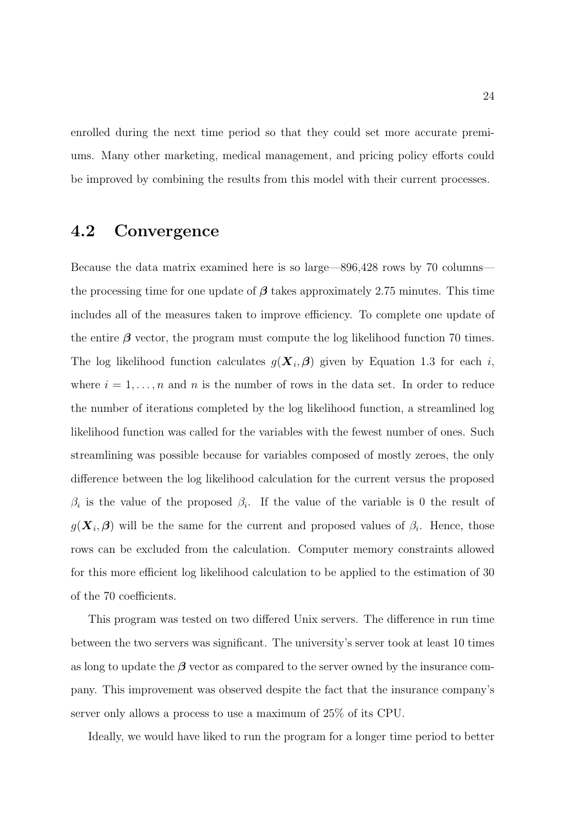enrolled during the next time period so that they could set more accurate premiums. Many other marketing, medical management, and pricing policy efforts could be improved by combining the results from this model with their current processes.

### 4.2 Convergence

Because the data matrix examined here is so large—896,428 rows by 70 columns the processing time for one update of  $\beta$  takes approximately 2.75 minutes. This time includes all of the measures taken to improve efficiency. To complete one update of the entire  $\beta$  vector, the program must compute the log likelihood function 70 times. The log likelihood function calculates  $g(\mathbf{X}_i, \boldsymbol{\beta})$  given by Equation 1.3 for each i, where  $i = 1, \ldots, n$  and n is the number of rows in the data set. In order to reduce the number of iterations completed by the log likelihood function, a streamlined log likelihood function was called for the variables with the fewest number of ones. Such streamlining was possible because for variables composed of mostly zeroes, the only difference between the log likelihood calculation for the current versus the proposed  $\beta_i$  is the value of the proposed  $\beta_i$ . If the value of the variable is 0 the result of  $g(\mathbf{X}_i, \boldsymbol{\beta})$  will be the same for the current and proposed values of  $\beta_i$ . Hence, those rows can be excluded from the calculation. Computer memory constraints allowed for this more efficient log likelihood calculation to be applied to the estimation of 30 of the 70 coefficients.

This program was tested on two differed Unix servers. The difference in run time between the two servers was significant. The university's server took at least 10 times as long to update the  $\beta$  vector as compared to the server owned by the insurance company. This improvement was observed despite the fact that the insurance company's server only allows a process to use a maximum of 25% of its CPU.

Ideally, we would have liked to run the program for a longer time period to better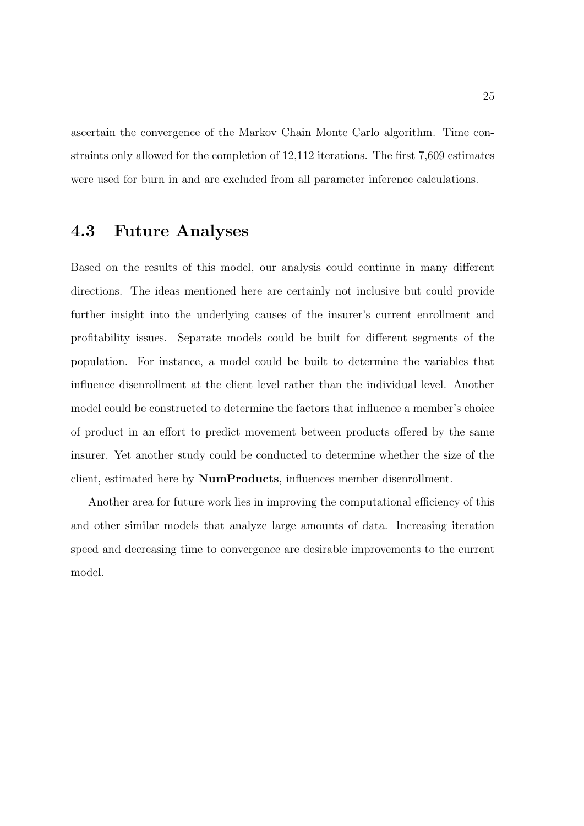ascertain the convergence of the Markov Chain Monte Carlo algorithm. Time constraints only allowed for the completion of 12,112 iterations. The first 7,609 estimates were used for burn in and are excluded from all parameter inference calculations.

### 4.3 Future Analyses

Based on the results of this model, our analysis could continue in many different directions. The ideas mentioned here are certainly not inclusive but could provide further insight into the underlying causes of the insurer's current enrollment and profitability issues. Separate models could be built for different segments of the population. For instance, a model could be built to determine the variables that influence disenrollment at the client level rather than the individual level. Another model could be constructed to determine the factors that influence a member's choice of product in an effort to predict movement between products offered by the same insurer. Yet another study could be conducted to determine whether the size of the client, estimated here by NumProducts, influences member disenrollment.

Another area for future work lies in improving the computational efficiency of this and other similar models that analyze large amounts of data. Increasing iteration speed and decreasing time to convergence are desirable improvements to the current model.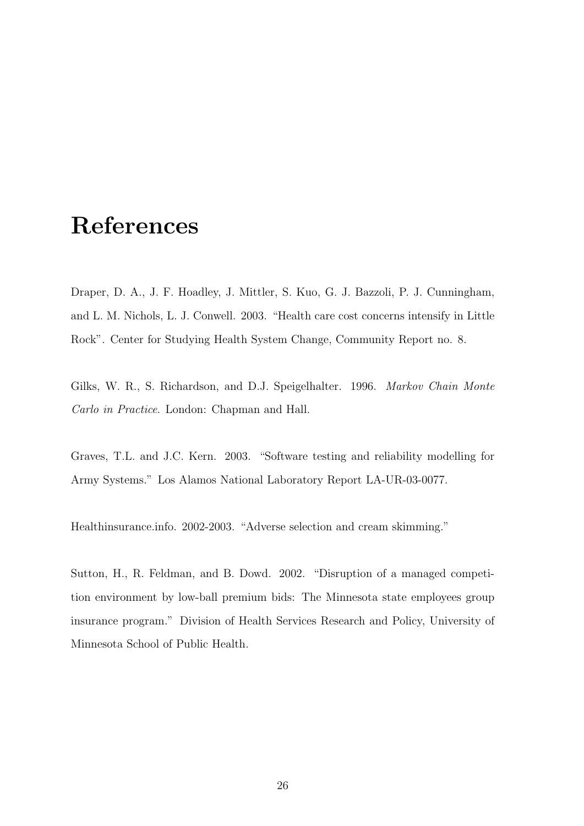## References

Draper, D. A., J. F. Hoadley, J. Mittler, S. Kuo, G. J. Bazzoli, P. J. Cunningham, and L. M. Nichols, L. J. Conwell. 2003. "Health care cost concerns intensify in Little Rock". Center for Studying Health System Change, Community Report no. 8.

Gilks, W. R., S. Richardson, and D.J. Speigelhalter. 1996. Markov Chain Monte Carlo in Practice. London: Chapman and Hall.

Graves, T.L. and J.C. Kern. 2003. "Software testing and reliability modelling for Army Systems." Los Alamos National Laboratory Report LA-UR-03-0077.

Healthinsurance.info. 2002-2003. "Adverse selection and cream skimming."

Sutton, H., R. Feldman, and B. Dowd. 2002. "Disruption of a managed competition environment by low-ball premium bids: The Minnesota state employees group insurance program." Division of Health Services Research and Policy, University of Minnesota School of Public Health.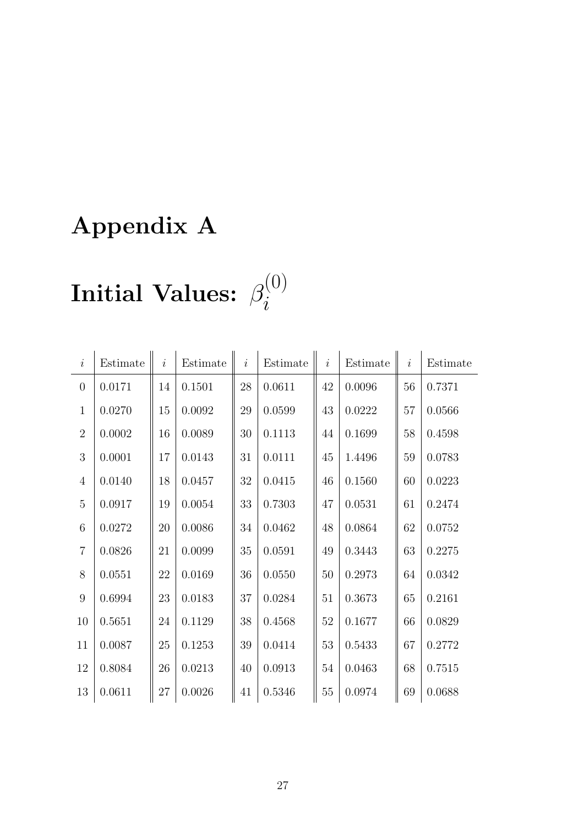# Appendix A

#### Initial Values:  $\beta$ (0) i

| $\dot{i}$      | Estimate   | $\dot{i}$ | Estimate | $\dot{i}$ | Estimate | $\dot{i}$ | Estimate | $\dot{i}$ | Estimate |
|----------------|------------|-----------|----------|-----------|----------|-----------|----------|-----------|----------|
| $\overline{0}$ | 0.0171     | 14        | 0.1501   | 28        | 0.0611   | 42        | 0.0096   | 56        | 0.7371   |
| $\mathbf{1}$   | 0.0270     | 15        | 0.0092   | 29        | 0.0599   | 43        | 0.0222   | 57        | 0.0566   |
| $\overline{2}$ | 0.0002     | 16        | 0.0089   | 30        | 0.1113   | 44        | 0.1699   | 58        | 0.4598   |
| 3              | 0.0001     | 17        | 0.0143   | 31        | 0.0111   | 45        | 1.4496   | 59        | 0.0783   |
| $\overline{4}$ | 0.0140     | 18        | 0.0457   | 32        | 0.0415   | 46        | 0.1560   | 60        | 0.0223   |
| $\overline{5}$ | 0.0917     | 19        | 0.0054   | 33        | 0.7303   | 47        | 0.0531   | 61        | 0.2474   |
| 6              | 0.0272     | 20        | 0.0086   | 34        | 0.0462   | 48        | 0.0864   | 62        | 0.0752   |
| $\overline{7}$ | 0.0826     | 21        | 0.0099   | 35        | 0.0591   | 49        | 0.3443   | 63        | 0.2275   |
| $8\,$          | 0.0551     | 22        | 0.0169   | 36        | 0.0550   | 50        | 0.2973   | 64        | 0.0342   |
| 9              | 0.6994     | 23        | 0.0183   | 37        | 0.0284   | 51        | 0.3673   | 65        | 0.2161   |
| 10             | 0.5651     | 24        | 0.1129   | 38        | 0.4568   | $52\,$    | 0.1677   | 66        | 0.0829   |
| 11             | $0.0087\,$ | 25        | 0.1253   | 39        | 0.0414   | 53        | 0.5433   | 67        | 0.2772   |
| 12             | 0.8084     | 26        | 0.0213   | 40        | 0.0913   | 54        | 0.0463   | 68        | 0.7515   |
| 13             | 0.0611     | 27        | 0.0026   | 41        | 0.5346   | $55\,$    | 0.0974   | 69        | 0.0688   |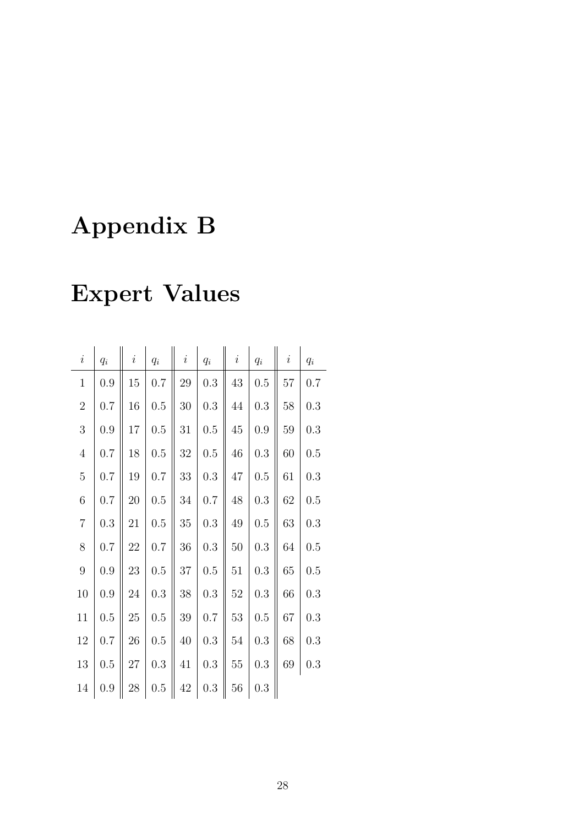# Appendix B

# Expert Values

| $\it i$        | $q_i$   | $\dot{i}$ | $q_i$     | $\dot{i}$ | $q_i$     | $\dot{i}$ | $\mathfrak{q}_i$ | $\dot{i}$ | $\mathfrak{q}_i$ |
|----------------|---------|-----------|-----------|-----------|-----------|-----------|------------------|-----------|------------------|
| $\mathbf{1}$   | 0.9     | 15        | 0.7       | 29        | $\rm 0.3$ | 43        | 0.5              | $57\,$    | 0.7              |
| $\sqrt{2}$     | 0.7     | 16        | 0.5       | 30        | 0.3       | 44        | 0.3              | 58        | 0.3              |
| 3              | 0.9     | 17        | 0.5       | 31        | 0.5       | $45\,$    | 0.9              | 59        | 0.3              |
| $\overline{4}$ | 0.7     | 18        | 0.5       | 32        | 0.5       | 46        | 0.3              | 60        | 0.5              |
| $\bf 5$        | $0.7\,$ | $19\,$    | 0.7       | 33        | 0.3       | 47        | 0.5              | 61        | 0.3              |
| $\,$ 6 $\,$    | 0.7     | 20        | 0.5       | 34        | 0.7       | 48        | 0.3              | 62        | 0.5              |
| $\overline{7}$ | 0.3     | 21        | 0.5       | $35\,$    | 0.3       | 49        | 0.5              | 63        | 0.3              |
| 8              | 0.7     | 22        | 0.7       | 36        | 0.3       | 50        | 0.3              | 64        | 0.5              |
| $\overline{9}$ | 0.9     | 23        | $0.5\,$   | 37        | 0.5       | 51        | 0.3              | 65        | 0.5              |
| 10             | 0.9     | 24        | 0.3       | $38\,$    | 0.3       | 52        | 0.3              | 66        | 0.3              |
| 11             | 0.5     | 25        | $0.5\,$   | 39        | 0.7       | 53        | 0.5              | 67        | 0.3              |
| $12\,$         | 0.7     | 26        | 0.5       | 40        | 0.3       | 54        | 0.3              | 68        | 0.3              |
| $13\,$         | 0.5     | 27        | $\rm 0.3$ | 41        | 0.3       | $55\,$    | $\rm 0.3$        | 69        | 0.3              |
| 14             | 0.9     | 28        | $0.5\,$   | 42        | $0.3\,$   | 56        | 0.3              |           |                  |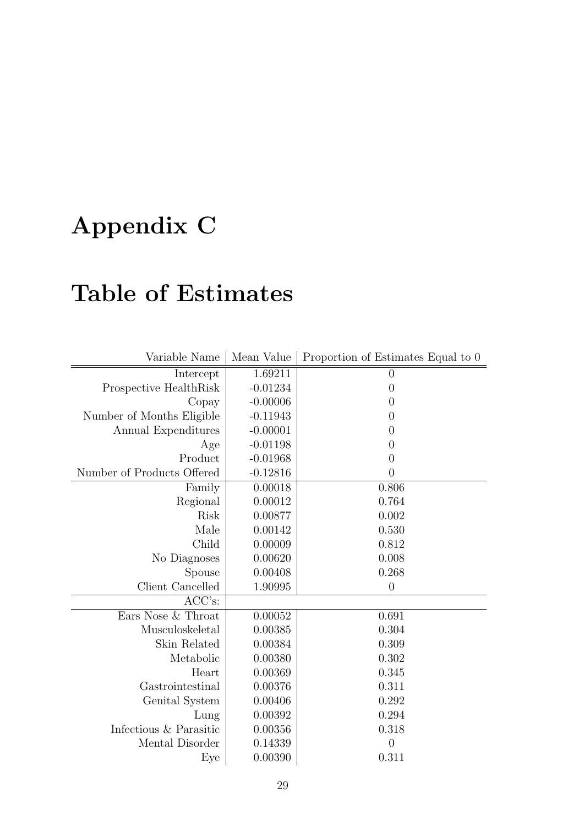# Appendix C

# Table of Estimates

| Variable Name              | Mean Value | Proportion of Estimates Equal to 0 |
|----------------------------|------------|------------------------------------|
| Intercept                  | 1.69211    | $\overline{0}$                     |
| Prospective HealthRisk     | $-0.01234$ | $\theta$                           |
| Copay                      | $-0.00006$ | $\theta$                           |
| Number of Months Eligible  | $-0.11943$ | $\theta$                           |
| Annual Expenditures        | $-0.00001$ | $\theta$                           |
| Age                        | $-0.01198$ | $\theta$                           |
| Product                    | $-0.01968$ | $\overline{0}$                     |
| Number of Products Offered | $-0.12816$ | $\overline{0}$                     |
| Family                     | 0.00018    | 0.806                              |
| Regional                   | 0.00012    | 0.764                              |
| Risk                       | 0.00877    | 0.002                              |
| Male                       | 0.00142    | 0.530                              |
| Child                      | 0.00009    | 0.812                              |
| No Diagnoses               | 0.00620    | 0.008                              |
| Spouse                     | 0.00408    | 0.268                              |
| Client Cancelled           | 1.90995    | $\overline{0}$                     |
| ACC's:                     |            |                                    |
| Ears Nose & Throat         | 0.00052    | 0.691                              |
| Musculoskeletal            | 0.00385    | 0.304                              |
| Skin Related               | 0.00384    | 0.309                              |
| Metabolic                  | 0.00380    | 0.302                              |
| Heart                      | 0.00369    | 0.345                              |
| Gastrointestinal           | 0.00376    | 0.311                              |
| Genital System             | 0.00406    | 0.292                              |
| Lung                       | 0.00392    | 0.294                              |
| Infectious & Parasitic     | 0.00356    | 0.318                              |
| Mental Disorder            | 0.14339    | $\overline{0}$                     |
| ${\rm Eye}$                | 0.00390    | 0.311                              |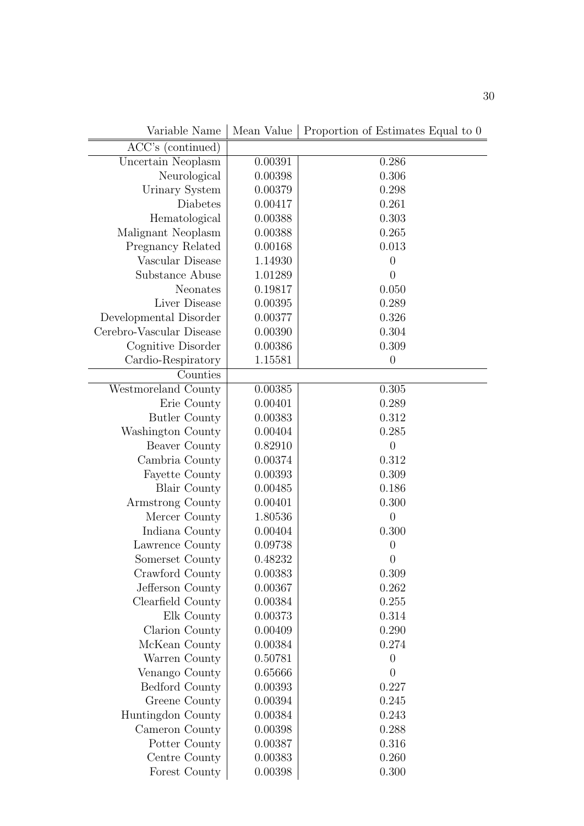| Variable Name            | Mean Value | Proportion of Estimates Equal to 0 |
|--------------------------|------------|------------------------------------|
| ACC's (continued)        |            |                                    |
| Uncertain Neoplasm       | 0.00391    | 0.286                              |
| Neurological             | 0.00398    | 0.306                              |
| Urinary System           | 0.00379    | 0.298                              |
| Diabetes                 | 0.00417    | 0.261                              |
| Hematological            | 0.00388    | 0.303                              |
| Malignant Neoplasm       | 0.00388    | 0.265                              |
| Pregnancy Related        | 0.00168    | 0.013                              |
| Vascular Disease         | 1.14930    | $\overline{0}$                     |
| Substance Abuse          | 1.01289    | $\overline{0}$                     |
| Neonates                 | 0.19817    | 0.050                              |
| Liver Disease            | 0.00395    | 0.289                              |
| Developmental Disorder   | 0.00377    | 0.326                              |
| Cerebro-Vascular Disease | 0.00390    | 0.304                              |
| Cognitive Disorder       | 0.00386    | 0.309                              |
| Cardio-Respiratory       | 1.15581    | $\boldsymbol{0}$                   |
| Counties                 |            |                                    |
| Westmoreland County      | 0.00385    | 0.305                              |
| Erie County              | 0.00401    | 0.289                              |
| <b>Butler County</b>     | 0.00383    | 0.312                              |
| Washington County        | 0.00404    | 0.285                              |
| Beaver County            | 0.82910    | $\overline{0}$                     |
| Cambria County           | 0.00374    | 0.312                              |
| <b>Fayette County</b>    | 0.00393    | 0.309                              |
| <b>Blair County</b>      | 0.00485    | 0.186                              |
| Armstrong County         | 0.00401    | 0.300                              |
| Mercer County            | 1.80536    | $\overline{0}$                     |
| Indiana County           | 0.00404    | 0.300                              |
| Lawrence County          | 0.09738    | $\boldsymbol{0}$                   |
| Somerset County          | 0.48232    | $\overline{0}$                     |
| Crawford County          | 0.00383    | 0.309                              |
| Jefferson County         | 0.00367    | 0.262                              |
| Clearfield County        | 0.00384    | 0.255                              |
| Elk County               | 0.00373    | 0.314                              |
| Clarion County           | 0.00409    | 0.290                              |
| McKean County            | 0.00384    | 0.274                              |
| Warren County            | 0.50781    | $\overline{0}$                     |
| Venango County           | 0.65666    | 0                                  |
| Bedford County           | 0.00393    | 0.227                              |
| Greene County            | 0.00394    | 0.245                              |
| Huntingdon County        | 0.00384    | 0.243                              |
| Cameron County           | 0.00398    | 0.288                              |
| Potter County            | 0.00387    | 0.316                              |
| Centre County            | 0.00383    | 0.260                              |
| Forest County            | 0.00398    | 0.300                              |

Variable Name | Mean Value | Proportion of Estimates Equal to 0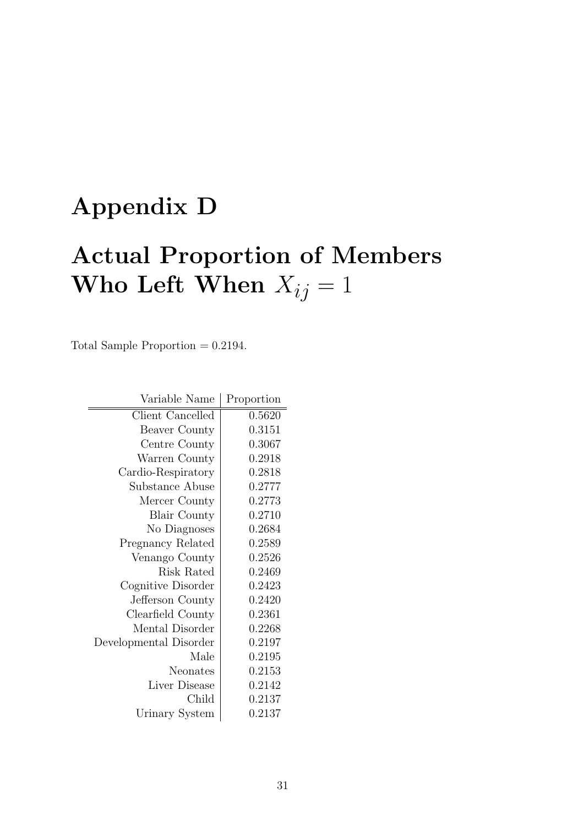# Appendix D

# Actual Proportion of Members Who Left When  $X_{ij} = 1$

Total Sample Proportion  $= 0.2194$ .

| Variable Name            | Proportion |
|--------------------------|------------|
| Client Cancelled         | 0.5620     |
| Beaver County            | 0.3151     |
| Centre County            | 0.3067     |
| Warren County            | 0.2918     |
| Cardio-Respiratory       | 0.2818     |
| Substance Abuse          | 0.2777     |
| Mercer County            | 0.2773     |
| <b>Blair County</b>      | 0.2710     |
| No Diagnoses             | 0.2684     |
| <b>Pregnancy Related</b> | 0.2589     |
| Venango County           | 0.2526     |
| Risk Rated               | 0.2469     |
| Cognitive Disorder       | 0.2423     |
| Jefferson County         | 0.2420     |
| Clearfield County        | 0.2361     |
| Mental Disorder          | 0.2268     |
| Developmental Disorder   | 0.2197     |
| Male                     | 0.2195     |
| Neonates                 | 0.2153     |
| Liver Disease            | 0.2142     |
| Child                    | 0.2137     |
| Urinary System           | 0.2137     |